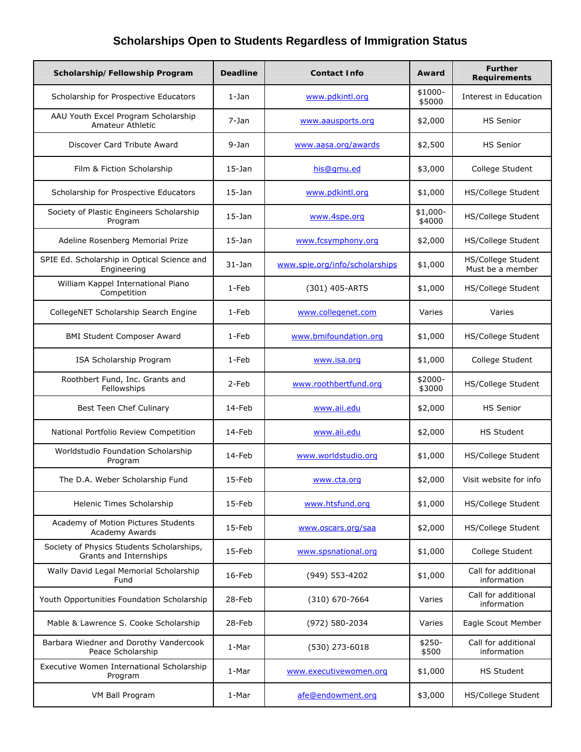| Scholarship/Fellowship Program                                      | <b>Deadline</b> | <b>Contact Info</b>            | Award               | <b>Further</b><br><b>Requirements</b>  |
|---------------------------------------------------------------------|-----------------|--------------------------------|---------------------|----------------------------------------|
| Scholarship for Prospective Educators                               | $1$ -Jan        | www.pdkintl.org                | $$1000-$<br>\$5000  | Interest in Education                  |
| AAU Youth Excel Program Scholarship<br>Amateur Athletic             | 7-Jan           | www.aausports.org              | \$2,000             | <b>HS Senior</b>                       |
| Discover Card Tribute Award                                         | 9-Jan           | www.aasa.org/awards            | \$2,500             | <b>HS Senior</b>                       |
| Film & Fiction Scholarship                                          | $15 - Jan$      | his@qmu.ed                     | \$3,000             | College Student                        |
| Scholarship for Prospective Educators                               | $15-$ Jan       | www.pdkintl.org                | \$1,000             | HS/College Student                     |
| Society of Plastic Engineers Scholarship<br>Program                 | $15-$ Jan       | www.4spe.org                   | $$1,000-$<br>\$4000 | HS/College Student                     |
| Adeline Rosenberg Memorial Prize                                    | $15-$ Jan       | www.fcsymphony.org             | \$2,000             | HS/College Student                     |
| SPIE Ed. Scholarship in Optical Science and<br>Engineering          | 31-Jan          | www.spie.org/info/scholarships | \$1,000             | HS/College Student<br>Must be a member |
| William Kappel International Piano<br>Competition                   | 1-Feb           | (301) 405-ARTS                 | \$1,000             | HS/College Student                     |
| CollegeNET Scholarship Search Engine                                | 1-Feb           | www.collegenet.com             | Varies              | Varies                                 |
| <b>BMI Student Composer Award</b>                                   | 1-Feb           | www.bmifoundation.org          | \$1,000             | HS/College Student                     |
| ISA Scholarship Program                                             | 1-Feb           | www.isa.org                    | \$1,000             | College Student                        |
| Roothbert Fund, Inc. Grants and<br>Fellowships                      | 2-Feb           | www.roothbertfund.org          | \$2000-<br>\$3000   | HS/College Student                     |
| Best Teen Chef Culinary                                             | 14-Feb          | www.aii.edu                    | \$2,000             | HS Senior                              |
| National Portfolio Review Competition                               | 14-Feb          | www.aii.edu                    | \$2,000             | <b>HS Student</b>                      |
| Worldstudio Foundation Scholarship<br>Program                       | 14-Feb          | www.worldstudio.org            | \$1,000             | HS/College Student                     |
| The D.A. Weber Scholarship Fund                                     | 15-Feb          | www.cta.org                    | \$2,000             | Visit website for info                 |
| Helenic Times Scholarship                                           | 15-Feb          | www.htsfund.org                | \$1,000             | HS/College Student                     |
| Academy of Motion Pictures Students<br><b>Academy Awards</b>        | 15-Feb          | www.oscars.org/saa             | \$2,000             | HS/College Student                     |
| Society of Physics Students Scholarships,<br>Grants and Internships | 15-Feb          | www.spsnational.org            | \$1,000             | College Student                        |
| Wally David Legal Memorial Scholarship<br>Fund                      | 16-Feb          | (949) 553-4202                 | \$1,000             | Call for additional<br>information     |
| Youth Opportunities Foundation Scholarship                          | 28-Feb          | (310) 670-7664                 | Varies              | Call for additional<br>information     |
| Mable & Lawrence S. Cooke Scholarship                               | 28-Feb          | (972) 580-2034                 | Varies              | Eagle Scout Member                     |
| Barbara Wiedner and Dorothy Vandercook<br>Peace Scholarship         | 1-Mar           | (530) 273-6018                 | $$250-$<br>\$500    | Call for additional<br>information     |
| Executive Women International Scholarship<br>Program                | 1-Mar           | www.executivewomen.org         | \$1,000             | <b>HS Student</b>                      |
| VM Ball Program                                                     | 1-Mar           | afe@endowment.org              | \$3,000             | HS/College Student                     |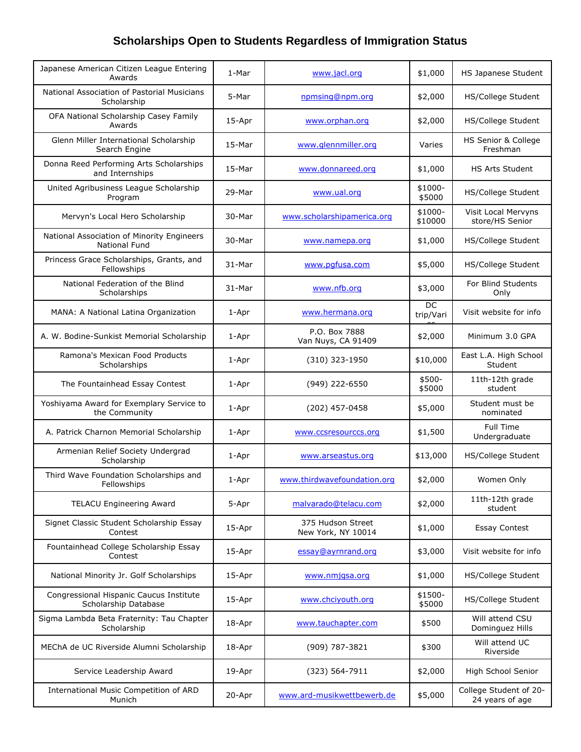| Japanese American Citizen League Entering<br>Awards                | 1-Mar    | www.jacl.org                            | \$1,000             | HS Japanese Student                       |
|--------------------------------------------------------------------|----------|-----------------------------------------|---------------------|-------------------------------------------|
| National Association of Pastorial Musicians<br>Scholarship         | 5-Mar    | npmsing@npm.org                         | \$2,000             | HS/College Student                        |
| OFA National Scholarship Casey Family<br>Awards                    | 15-Apr   | www.orphan.org                          | \$2,000             | HS/College Student                        |
| Glenn Miller International Scholarship<br>Search Engine            | 15-Mar   | www.glennmiller.org                     | Varies              | HS Senior & College<br>Freshman           |
| Donna Reed Performing Arts Scholarships<br>and Internships         | $15-Mar$ | www.donnareed.org                       | \$1,000             | <b>HS Arts Student</b>                    |
| United Agribusiness League Scholarship<br>Program                  | 29-Mar   | www.ual.org                             | $$1000-$<br>\$5000  | HS/College Student                        |
| Mervyn's Local Hero Scholarship                                    | 30-Mar   | www.scholarshipamerica.org              | $$1000-$<br>\$10000 | Visit Local Mervyns<br>store/HS Senior    |
| National Association of Minority Engineers<br><b>National Fund</b> | 30-Mar   | www.namepa.org                          | \$1,000             | HS/College Student                        |
| Princess Grace Scholarships, Grants, and<br>Fellowships            | 31-Mar   | www.pgfusa.com                          | \$5,000             | HS/College Student                        |
| National Federation of the Blind<br>Scholarships                   | 31-Mar   | www.nfb.org                             | \$3,000             | For Blind Students<br>Only                |
| MANA: A National Latina Organization                               | 1-Apr    | www.hermana.org                         | DC<br>trip/Vari     | Visit website for info                    |
| A. W. Bodine-Sunkist Memorial Scholarship                          | 1-Apr    | P.O. Box 7888<br>Van Nuys, CA 91409     | \$2,000             | Minimum 3.0 GPA                           |
| Ramona's Mexican Food Products<br>Scholarships                     | 1-Apr    | (310) 323-1950                          | \$10,000            | East L.A. High School<br>Student          |
| The Fountainhead Essay Contest                                     | 1-Apr    | (949) 222-6550                          | $$500-$<br>\$5000   | 11th-12th grade<br>student                |
| Yoshiyama Award for Exemplary Service to<br>the Community          | 1-Apr    | (202) 457-0458                          | \$5,000             | Student must be<br>nominated              |
| A. Patrick Charnon Memorial Scholarship                            | 1-Apr    | www.ccsresourccs.org                    | \$1,500             | Full Time<br>Undergraduate                |
| Armenian Relief Society Undergrad<br>Scholarship                   | 1-Apr    | www.arseastus.org                       | \$13,000            | HS/College Student                        |
| Third Wave Foundation Scholarships and<br>Fellowships              | 1-Apr    | www.thirdwavefoundation.org             | \$2,000             | Women Only                                |
| <b>TELACU Engineering Award</b>                                    | 5-Apr    | malvarado@telacu.com                    | \$2,000             | 11th-12th grade<br>student                |
| Signet Classic Student Scholarship Essay<br>Contest                | 15-Apr   | 375 Hudson Street<br>New York, NY 10014 | \$1,000             | <b>Essay Contest</b>                      |
| Fountainhead College Scholarship Essay<br>Contest                  | 15-Apr   | essay@ayrnrand.org                      | \$3,000             | Visit website for info                    |
| National Minority Jr. Golf Scholarships                            | 15-Apr   | www.nmjqsa.org                          | \$1,000             | HS/College Student                        |
| Congressional Hispanic Caucus Institute<br>Scholarship Database    | 15-Apr   | www.chciyouth.org                       | \$1500-<br>\$5000   | HS/College Student                        |
| Sigma Lambda Beta Fraternity: Tau Chapter<br>Scholarship           | 18-Apr   | www.tauchapter.com                      | \$500               | Will attend CSU<br>Dominguez Hills        |
| MEChA de UC Riverside Alumni Scholarship                           | 18-Apr   | (909) 787-3821                          | \$300               | Will attend UC<br>Riverside               |
| Service Leadership Award                                           | 19-Apr   | (323) 564-7911                          | \$2,000             | High School Senior                        |
| International Music Competition of ARD<br>Munich                   | 20-Apr   | www.ard-musikwettbewerb.de              | \$5,000             | College Student of 20-<br>24 years of age |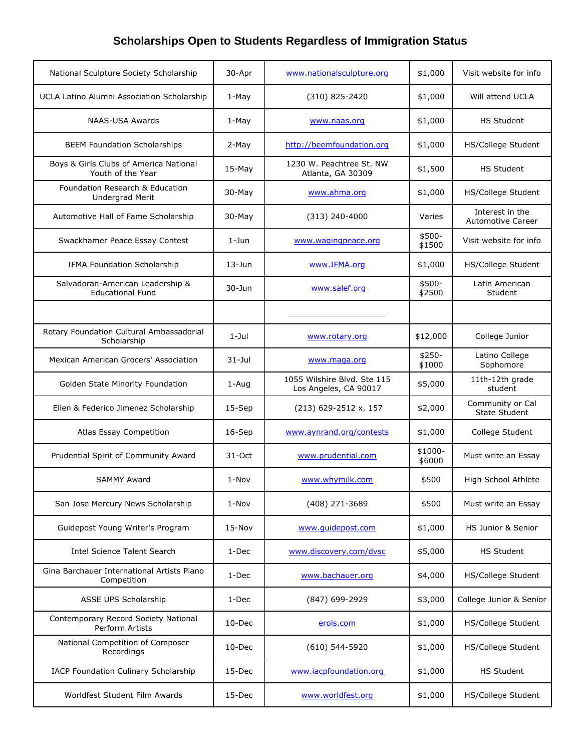| National Sculpture Society Scholarship                      | 30-Apr     | www.nationalsculpture.org                            | \$1,000            | Visit website for info                      |
|-------------------------------------------------------------|------------|------------------------------------------------------|--------------------|---------------------------------------------|
| UCLA Latino Alumni Association Scholarship                  | 1-May      | (310) 825-2420                                       | \$1,000            | Will attend UCLA                            |
| NAAS-USA Awards                                             | 1-May      | www.naas.org                                         | \$1,000            | <b>HS Student</b>                           |
| <b>BEEM Foundation Scholarships</b>                         | 2-May      | http://beemfoundation.org                            | \$1,000            | HS/College Student                          |
| Boys & Girls Clubs of America National<br>Youth of the Year | $15-May$   | 1230 W. Peachtree St. NW<br>Atlanta, GA 30309        | \$1,500            | <b>HS Student</b>                           |
| Foundation Research & Education<br>Undergrad Merit          | $30$ -May  | www.ahma.org                                         | \$1,000            | <b>HS/College Student</b>                   |
| Automotive Hall of Fame Scholarship                         | 30-May     | $(313)$ 240-4000                                     | Varies             | Interest in the<br><b>Automotive Career</b> |
| Swackhamer Peace Essay Contest                              | $1 - Jun$  | www.wagingpeace.org                                  | \$500-<br>\$1500   | Visit website for info                      |
| IFMA Foundation Scholarship                                 | $13 - Jun$ | www.IFMA.org                                         | \$1,000            | <b>HS/College Student</b>                   |
| Salvadoran-American Leadership &<br><b>Educational Fund</b> | $30 - Jun$ | www.salef.org                                        | \$500-<br>\$2500   | Latin American<br>Student                   |
|                                                             |            |                                                      |                    |                                             |
| Rotary Foundation Cultural Ambassadorial<br>Scholarship     | $1 -$ Jul  | www.rotary.org                                       | \$12,000           | College Junior                              |
| Mexican American Grocers' Association                       | $31 -$ Jul | www.maga.org                                         | $$250-$<br>\$1000  | Latino College<br>Sophomore                 |
| Golden State Minority Foundation                            | 1-Aug      | 1055 Wilshire Blvd. Ste 115<br>Los Angeles, CA 90017 | \$5,000            | 11th-12th grade<br>student                  |
| Ellen & Federico Jimenez Scholarship                        | $15-$ Sep  | $(213)$ 629-2512 x. 157                              | \$2,000            | Community or Cal<br><b>State Student</b>    |
| Atlas Essay Competition                                     | $16-$ Sep  | www.aynrand.org/contests                             | \$1,000            | College Student                             |
| Prudential Spirit of Community Award                        | $31-Oct$   | www.prudential.com                                   | $$1000-$<br>\$6000 | Must write an Essay                         |
| <b>SAMMY Award</b>                                          | $1-Nov$    | www.whymilk.com                                      | \$500              | High School Athlete                         |
| San Jose Mercury News Scholarship                           | 1-Nov      | (408) 271-3689                                       | \$500              | Must write an Essay                         |
| Guidepost Young Writer's Program                            | $15-Nov$   | www.quidepost.com                                    | \$1,000            | HS Junior & Senior                          |
| Intel Science Talent Search                                 | 1-Dec      | www.discovery.com/dvsc                               | \$5,000            | <b>HS Student</b>                           |
| Gina Barchauer International Artists Piano<br>Competition   | 1-Dec      | www.bachauer.org                                     | \$4,000            | HS/College Student                          |
| ASSE UPS Scholarship                                        | 1-Dec      | (847) 699-2929                                       | \$3,000            | College Junior & Senior                     |
| Contemporary Record Society National<br>Perform Artists     | $10$ -Dec  | erols.com                                            | \$1,000            | HS/College Student                          |
| National Competition of Composer<br>Recordings              | $10$ -Dec  | $(610)$ 544-5920                                     | \$1,000            | HS/College Student                          |
| IACP Foundation Culinary Scholarship                        | 15-Dec     | www.iacpfoundation.org                               | \$1,000            | <b>HS Student</b>                           |
| Worldfest Student Film Awards                               | 15-Dec     | www.worldfest.org                                    | \$1,000            | HS/College Student                          |